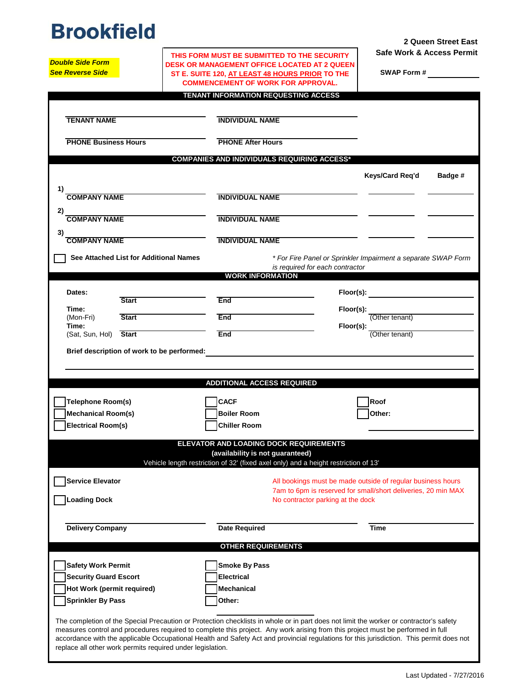## **Brookfield**

*Double Side Form*

**2 Queen Street East Safe Work & Access Permit**

| SWAP Form # |  |
|-------------|--|

| <b>Double Side Form</b>                    | DESK OR MANAGEMENT OFFICE LOCATED AT 2 QUEEN                                                                                    |                                                                                                                                          |  |  |  |
|--------------------------------------------|---------------------------------------------------------------------------------------------------------------------------------|------------------------------------------------------------------------------------------------------------------------------------------|--|--|--|
| <b>See Reverse Side</b>                    | ST E. SUITE 120, AT LEAST 48 HOURS PRIOR TO THE                                                                                 | <b>SWAP Form #</b>                                                                                                                       |  |  |  |
|                                            | <b>COMMENCEMENT OF WORK FOR APPROVAL.</b>                                                                                       |                                                                                                                                          |  |  |  |
|                                            | TENANT INFORMATION REQUESTING ACCESS                                                                                            |                                                                                                                                          |  |  |  |
|                                            |                                                                                                                                 |                                                                                                                                          |  |  |  |
| <b>TENANT NAME</b>                         | <b>INDIVIDUAL NAME</b>                                                                                                          |                                                                                                                                          |  |  |  |
|                                            |                                                                                                                                 |                                                                                                                                          |  |  |  |
| <b>PHONE Business Hours</b>                | <b>PHONE After Hours</b>                                                                                                        |                                                                                                                                          |  |  |  |
|                                            | <b>COMPANIES AND INDIVIDUALS REQUIRING ACCESS*</b>                                                                              |                                                                                                                                          |  |  |  |
|                                            |                                                                                                                                 | Badge #                                                                                                                                  |  |  |  |
|                                            |                                                                                                                                 | Keys/Card Req'd                                                                                                                          |  |  |  |
| 1)<br><b>COMPANY NAME</b>                  | <b>INDIVIDUAL NAME</b>                                                                                                          |                                                                                                                                          |  |  |  |
|                                            |                                                                                                                                 |                                                                                                                                          |  |  |  |
| 2)<br><b>COMPANY NAME</b>                  | <b>INDIVIDUAL NAME</b>                                                                                                          |                                                                                                                                          |  |  |  |
| 3)                                         |                                                                                                                                 |                                                                                                                                          |  |  |  |
| <b>COMPANY NAME</b>                        | <b>INDIVIDUAL NAME</b>                                                                                                          |                                                                                                                                          |  |  |  |
| See Attached List for Additional Names     |                                                                                                                                 |                                                                                                                                          |  |  |  |
|                                            |                                                                                                                                 | * For Fire Panel or Sprinkler Impairment a separate SWAP Form<br>is required for each contractor                                         |  |  |  |
|                                            | <b>WORK INFORMATION</b>                                                                                                         |                                                                                                                                          |  |  |  |
| Dates:                                     |                                                                                                                                 | $Floor(s)$ :                                                                                                                             |  |  |  |
| <b>Start</b>                               | <b>End</b>                                                                                                                      |                                                                                                                                          |  |  |  |
| Time:                                      |                                                                                                                                 | Floor(s):<br>(Other tenant)                                                                                                              |  |  |  |
| <b>Start</b><br>(Mon-Fri)<br>Time:         | End                                                                                                                             | Floor(s):                                                                                                                                |  |  |  |
| (Sat, Sun, Hol) Start                      | End                                                                                                                             | (Other tenant)                                                                                                                           |  |  |  |
|                                            |                                                                                                                                 |                                                                                                                                          |  |  |  |
| Brief description of work to be performed: |                                                                                                                                 |                                                                                                                                          |  |  |  |
|                                            |                                                                                                                                 |                                                                                                                                          |  |  |  |
|                                            |                                                                                                                                 |                                                                                                                                          |  |  |  |
|                                            | <b>ADDITIONAL ACCESS REQUIRED</b>                                                                                               |                                                                                                                                          |  |  |  |
|                                            |                                                                                                                                 |                                                                                                                                          |  |  |  |
| Telephone Room(s)                          | <b>CACF</b>                                                                                                                     | Roof                                                                                                                                     |  |  |  |
| <b>Mechanical Room(s)</b>                  | <b>Boiler Room</b>                                                                                                              | Other:                                                                                                                                   |  |  |  |
| <b>Electrical Room(s)</b>                  | <b>Chiller Room</b>                                                                                                             |                                                                                                                                          |  |  |  |
|                                            |                                                                                                                                 |                                                                                                                                          |  |  |  |
|                                            | ELEVATOR AND LOADING DOCK REQUIREMENTS<br>(availability is not guaranteed)                                                      |                                                                                                                                          |  |  |  |
|                                            | Vehicle length restriction of 32' (fixed axel only) and a height restriction of 13'                                             |                                                                                                                                          |  |  |  |
|                                            |                                                                                                                                 |                                                                                                                                          |  |  |  |
| <b>Service Elevator</b>                    |                                                                                                                                 | All bookings must be made outside of regular business hours                                                                              |  |  |  |
| <b>Loading Dock</b>                        |                                                                                                                                 | 7am to 6pm is reserved for small/short deliveries, 20 min MAX<br>No contractor parking at the dock                                       |  |  |  |
|                                            |                                                                                                                                 |                                                                                                                                          |  |  |  |
|                                            |                                                                                                                                 |                                                                                                                                          |  |  |  |
| <b>Delivery Company</b>                    | <b>Date Required</b>                                                                                                            | <b>Time</b>                                                                                                                              |  |  |  |
|                                            | <b>OTHER REQUIREMENTS</b>                                                                                                       |                                                                                                                                          |  |  |  |
|                                            |                                                                                                                                 |                                                                                                                                          |  |  |  |
| <b>Safety Work Permit</b>                  | <b>Smoke By Pass</b>                                                                                                            |                                                                                                                                          |  |  |  |
| <b>Security Guard Escort</b>               | <b>Electrical</b>                                                                                                               |                                                                                                                                          |  |  |  |
| Hot Work (permit required)                 | Mechanical                                                                                                                      |                                                                                                                                          |  |  |  |
| <b>Sprinkler By Pass</b>                   | Other:                                                                                                                          |                                                                                                                                          |  |  |  |
|                                            |                                                                                                                                 |                                                                                                                                          |  |  |  |
|                                            |                                                                                                                                 | The completion of the Special Precaution or Protection checklists in whole or in part does not limit the worker or contractor's safety   |  |  |  |
|                                            | measures control and procedures required to complete this project. Any work arising from this project must be performed in full | accordance with the applicable Occupational Health and Safety Act and provincial regulations for this jurisdiction. This permit does not |  |  |  |

**THIS FORM MUST BE SUBMITTED TO THE SECURITY**